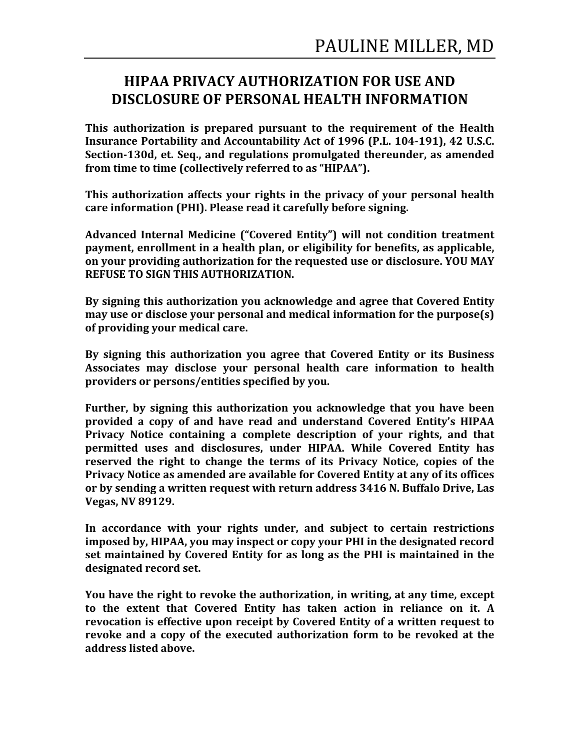## **HIPAA PRIVACY AUTHORIZATION FOR USE AND DISCLOSURE OF PERSONAL HEALTH INFORMATION**

**This authorization is prepared pursuant to the requirement of the Health Insurance Portability and Accountability Act of 1996 (P.L. 104-191), 42 U.S.C.** Section-130d, et. Seq., and regulations promulgated thereunder, as amended from time to time (collectively referred to as "HIPAA").

This authorization affects your rights in the privacy of your personal health care information (PHI). Please read it carefully before signing.

Advanced Internal Medicine ("Covered Entity") will not condition treatment **payment, enrollment in a health plan, or eligibility for benefits, as applicable,** on your providing authorization for the requested use or disclosure. YOU MAY **REFUSE TO SIGN THIS AUTHORIZATION.** 

By signing this authorization you acknowledge and agree that Covered Entity **may use or disclose your personal and medical information for the purpose(s)** of providing your medical care.

By signing this authorization you agree that Covered Entity or its Business Associates may disclose your personal health care information to health providers or persons/entities specified by you.

**Further, by signing this authorization you acknowledge that you have been provided a copy of and have read and understand Covered Entity's HIPAA Privacy Notice containing a complete description of your rights, and that** permitted uses and disclosures, under HIPAA. While Covered Entity has **reserved** the right to change the terms of its Privacy Notice, copies of the **Privacy Notice as amended are available for Covered Entity at any of its offices** or by sending a written request with return address 3416 N. Buffalo Drive, Las **Vegas, NV 89129.**

In accordance with your rights under, and subject to certain restrictions **imposed** by, HIPAA, you may inspect or copy your PHI in the designated record set maintained by Covered Entity for as long as the PHI is maintained in the designated record set.

**You have the right to revoke the authorization, in writing, at any time, except** to the extent that Covered Entity has taken action in reliance on it. A revocation is effective upon receipt by Covered Entity of a written request to revoke and a copy of the executed authorization form to be revoked at the **address listed above.**